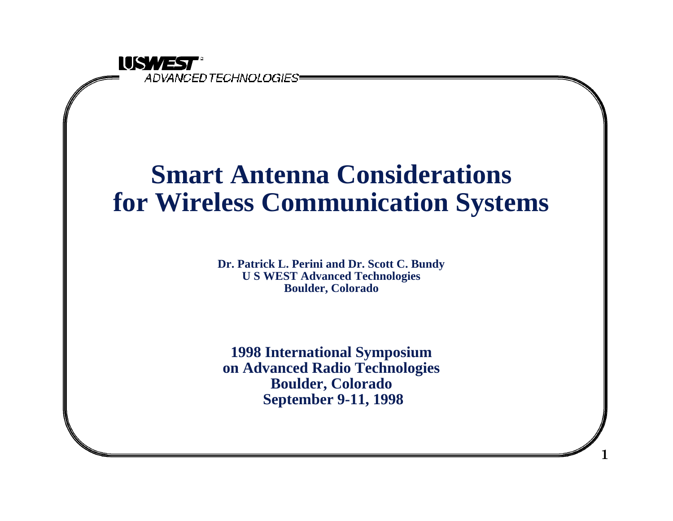

### **Smart Antenna Considerations for Wireless Communication Systems**

**Dr. Patrick L. Perini and Dr. Scott C. Bundy U S WEST Advanced Technologies Boulder, Colorado**

**1998 International Symposium on Advanced Radio Technologies Boulder, Colorado September 9-11, 1998**

**1**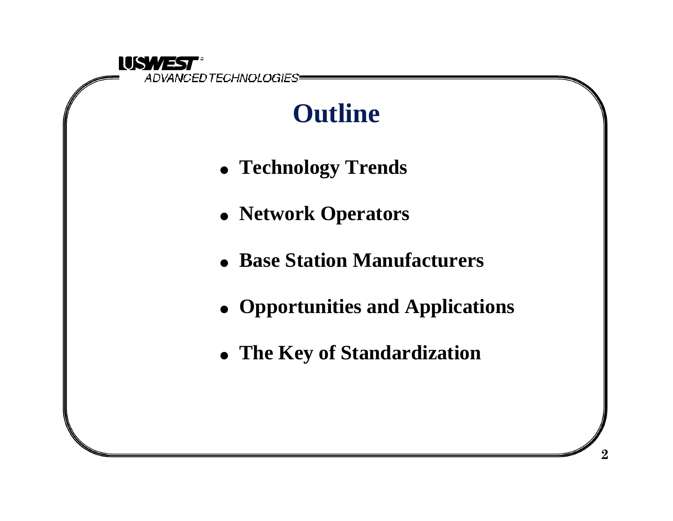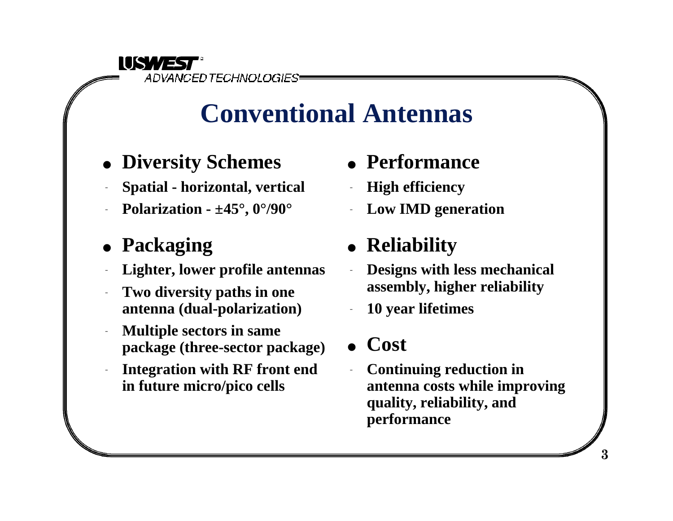

### **Conventional Antennas**

- **Diversity Schemes**
- <sup>q</sup> **Spatial horizontal, vertical**
- <sup>q</sup> **Polarization ±45°, 0°/90°**
- Packaging
- Lighter, lower profile antennas
- **Two diversity paths in one antenna (dual-polarization)**
- <sup>q</sup> **Multiple sectors in same package (three-sector package)**
- Integration with RF front end **in future micro/pico cells**
- **Performance**
- **High efficiency**
- Low **IMD** generation

### • Reliability

- <sup>q</sup> **Designs with less mechanical assembly, higher reliability**
- <sup>q</sup> **10 year lifetimes**
- Cost
- **Continuing reduction in antenna costs while improving quality, reliability, and performance**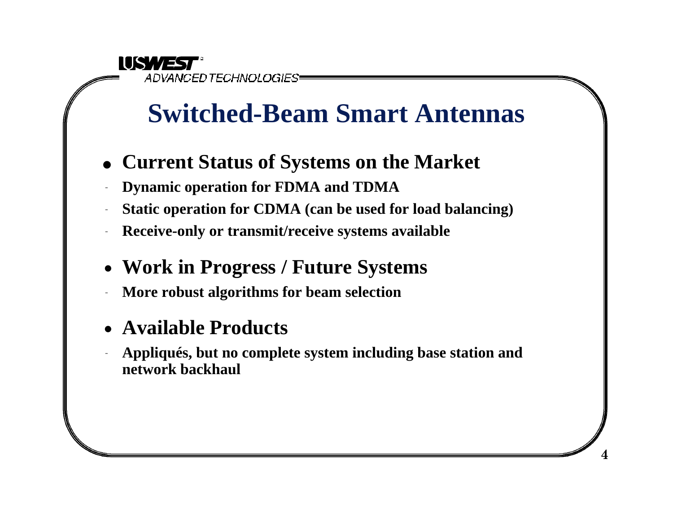**IUSWEST** ADVANCED TECHNOLOGIES

## **Switched-Beam Smart Antennas**

- <sup>l</sup> **Current Status of Systems on the Market**
- **Dynamic operation for FDMA and TDMA**
- Static operation for CDMA (can be used for load balancing)
- Receive-only or transmit/receive systems available
- <sup>n</sup> **Work in Progress / Future Systems**
- <sup>q</sup> **More robust algorithms for beam selection**
- <sup>n</sup> **Available Products**
- <sup>q</sup> **Appliqués, but no complete system including base station and network backhaul**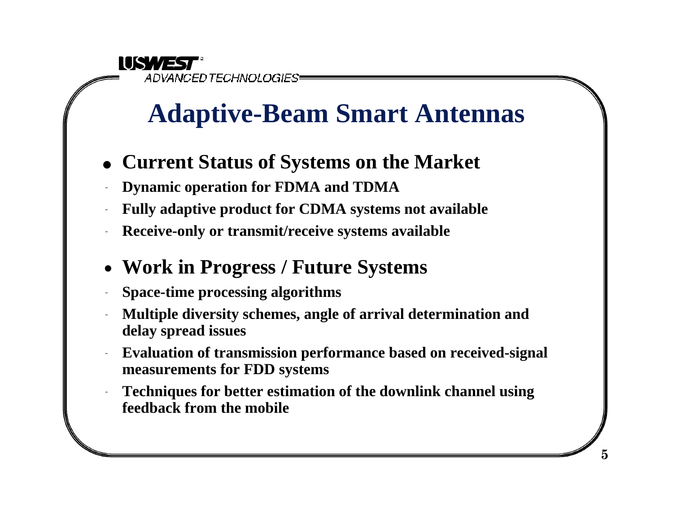IUSWEST<sup>.</sup> ADVANCED TECHNOLOGIES.

## **Adaptive-Beam Smart Antennas**

- <sup>l</sup> **Current Status of Systems on the Market**
- **Dynamic operation for FDMA and TDMA**
- Fully adaptive product for CDMA systems not available
- Receive-only or transmit/receive systems available
- <sup>n</sup> **Work in Progress / Future Systems**
- <sup>q</sup> **Space-time processing algorithms**
- <sup>q</sup> **Multiple diversity schemes, angle of arrival determination and delay spread issues**
- <sup>q</sup> **Evaluation of transmission performance based on received-signal measurements for FDD systems**
- <sup>q</sup> **Techniques for better estimation of the downlink channel using feedback from the mobile**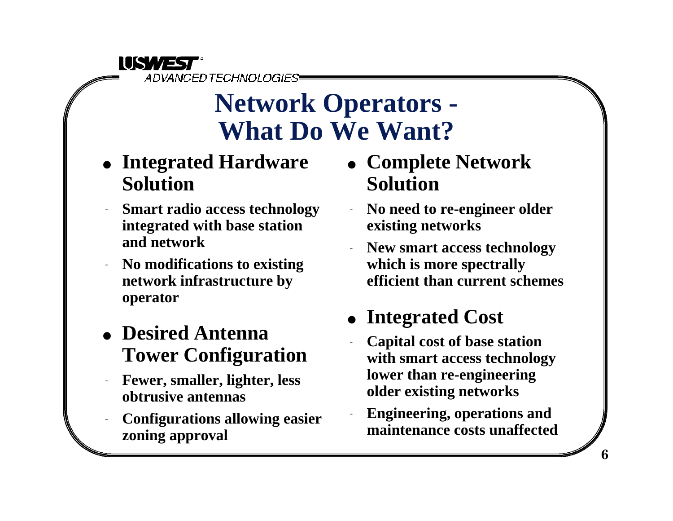

### **Network Operators - What Do We Want?**

- **Integrated Hardware Solution**
- **Smart radio access technology integrated with base station and network**
- <sup>q</sup> **No modifications to existing network infrastructure by operator**
- **.** Desired Antenna **Tower Configuration**
- <sup>q</sup> **Fewer, smaller, lighter, less obtrusive antennas**
- <sup>q</sup> **Configurations allowing easier zoning approval**
- <sup>l</sup> **Complete Network Solution**
- <sup>q</sup> **No need to re-engineer older existing networks**
- New smart access technology **which is more spectrally efficient than current schemes**
- Integrated Cost
	- <sup>q</sup> **Capital cost of base station with smart access technology lower than re-engineering older existing networks**
	- <sup>q</sup> **Engineering, operations and maintenance costs unaffected**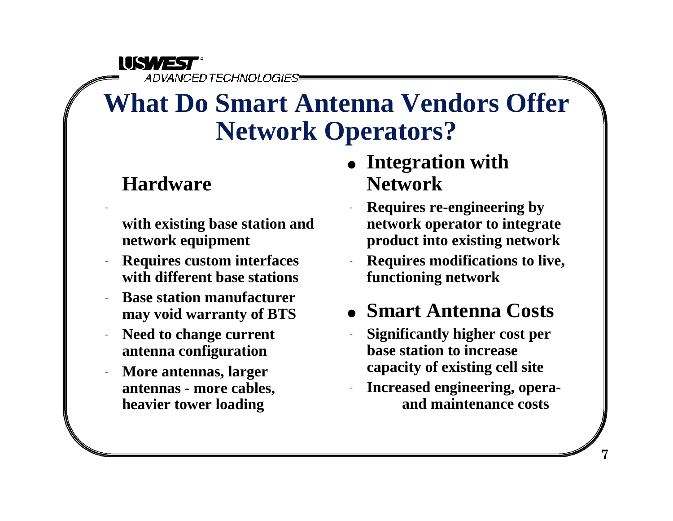**IUSWEST** ADVANCED TECHNOLOGIES

### **What Do Smart Antenna Vendors Offer Network Operators?**

#### **Hardware**

 $\frac{1}{\sqrt{2}}$ 

- **with existing base station and network equipment**
- <sup>q</sup> **Requires custom interfaces with different base stations**
- **Base station manufacturer may void warranty of BTS**
- Need to change current **antenna configuration**
- More antennas, larger **antennas - more cables, heavier tower loading**
- Integration with **Network**
- <sup>q</sup> **Requires re-engineering by network operator to integrate product into existing network**
- <sup>q</sup> **Requires modifications to live, functioning network**
- <sup>l</sup> **Smart Antenna Costs**
- <sup>q</sup> **Significantly higher cost per base station to increase capacity of existing cell site**
- <sup>q</sup> **Increased engineering, opera and maintenance costs**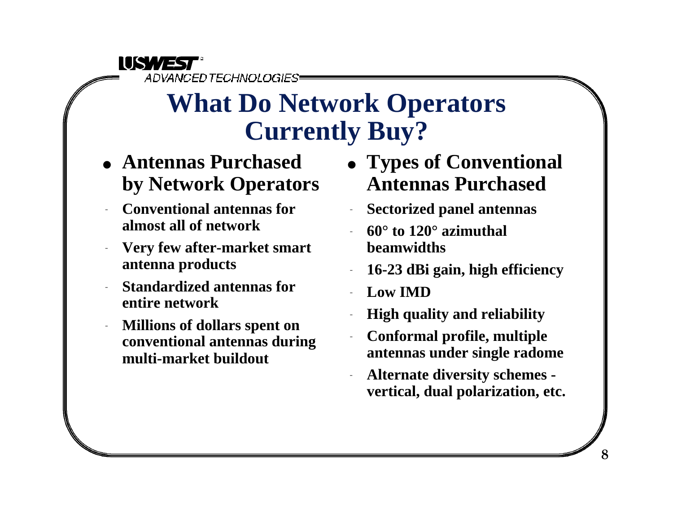

### **What Do Network Operators Currently Buy?**

- <sup>l</sup> **Antennas Purchased by Network Operators**
- <sup>q</sup> **Conventional antennas for almost all of network**
- <sup>q</sup> **Very few after-market smart antenna products**
- <sup>q</sup> **Standardized antennas for entire network**
- <sup>q</sup> **Millions of dollars spent on conventional antennas during multi-market buildout**
- Types of Conventional **Antennas Purchased**
- **Sectorized panel antennas**
- <sup>q</sup> **60° to 120° azimuthal beamwidths**
- <sup>q</sup> **16-23 dBi gain, high efficiency**
- Low **IMD**
- **High quality and reliability**
- <sup>q</sup> **Conformal profile, multiple antennas under single radome**
- <sup>q</sup> **Alternate diversity schemes vertical, dual polarization, etc.**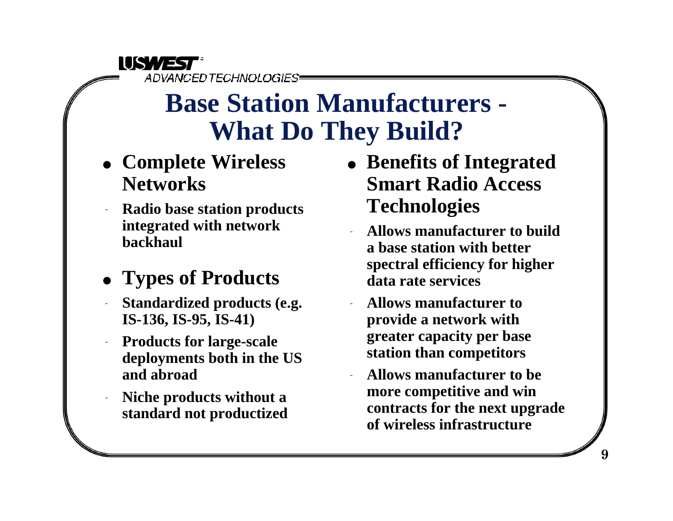#### **IISWEST** ADVANCED TECHNOLOGIES

### **Base Station Manufacturers - What Do They Build?**

- <sup>l</sup> **Complete Wireless Networks**
- <sup>q</sup> **Radio base station products integrated with network backhaul**

### <sup>l</sup> **Types of Products**

- <sup>q</sup> **Standardized products (e.g. IS-136, IS-95, IS-41)**
- **Products for large-scale deployments both in the US and abroad**
- <sup>q</sup> **Niche products without a standard not productized**
- **Benefits of Integrated Smart Radio Access Technologies**
	- <sup>q</sup> **Allows manufacturer to build a base station with better spectral efficiency for higher data rate services**
	- <sup>q</sup> **Allows manufacturer to provide a network with greater capacity per base station than competitors**
	- <sup>q</sup> **Allows manufacturer to be more competitive and win contracts for the next upgrade of wireless infrastructure**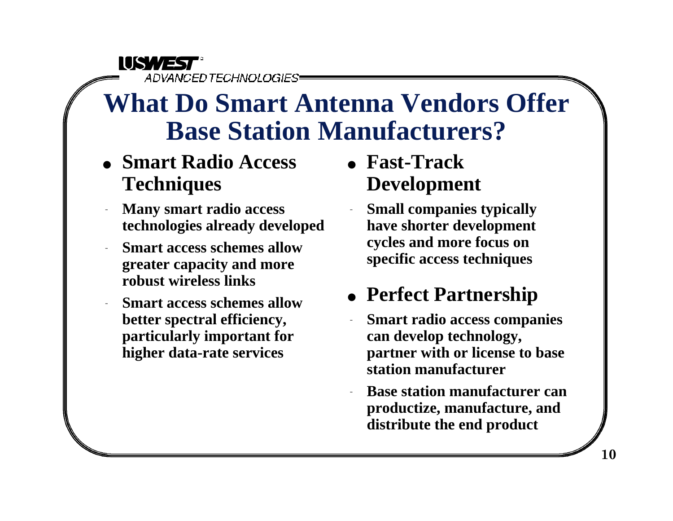**IISWEST** 

ADVANCED TECHNOLOGIES

### **What Do Smart Antenna Vendors Offer Base Station Manufacturers?**

- <sup>l</sup> **Smart Radio Access Techniques**
- **Many smart radio access technologies already developed**
- **Smart access schemes allow greater capacity and more robust wireless links**
- **Smart access schemes allow better spectral efficiency, particularly important for higher data-rate services**
- <sup>l</sup> **Fast-Track Development**
	- **Small companies typically have shorter development cycles and more focus on specific access techniques**

### **• Perfect Partnership**

- **Smart radio access companies can develop technology, partner with or license to base station manufacturer**
- **Base station manufacturer can productize, manufacture, and distribute the end product**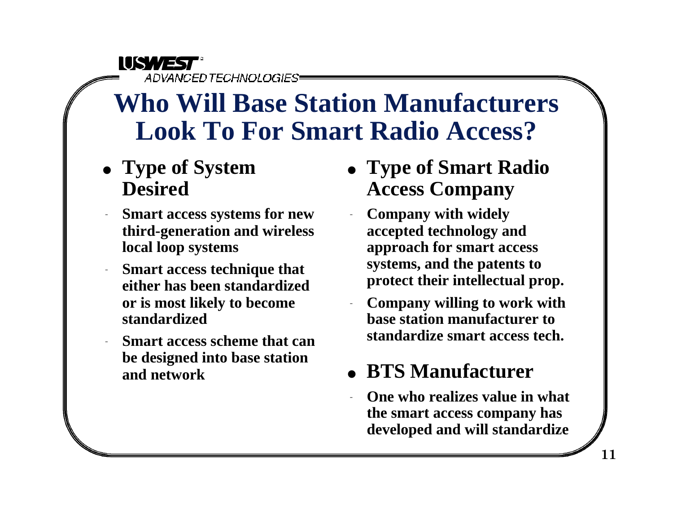#### **IUSWEST**

ADVANCED TECHNOLOGIES

### **Who Will Base Station Manufacturers Look To For Smart Radio Access?**

- Type of System **Desired**
- **Smart access systems for new third-generation and wireless local loop systems**
- **Smart access technique that either has been standardized or is most likely to become standardized**
- **Smart access scheme that can be designed into base station and network**
- <sup>l</sup> **Type of Smart Radio Access Company**
- <sup>q</sup> **Company with widely accepted technology and approach for smart access systems, and the patents to protect their intellectual prop.**
- <sup>q</sup> **Company willing to work with base station manufacturer to standardize smart access tech.**

### <sup>l</sup> **BTS Manufacturer**

**One who realizes value in what the smart access company has developed and will standardize**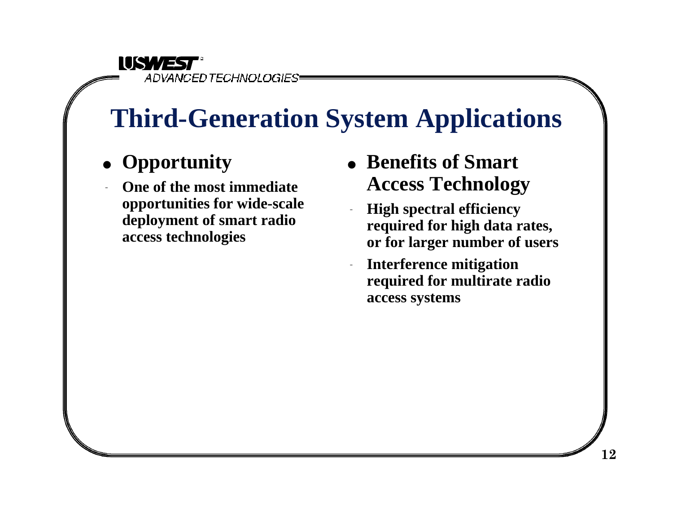#### **IISWEST** ADVANCED TECHNOLOGIES

## **Third-Generation System Applications**

- Opportunity
- **One of the most immediate opportunities for wide-scale deployment of smart radio access technologies**
- **Benefits of Smart Access Technology**
- **High spectral efficiency required for high data rates, or for larger number of users**
- **Interference mitigation required for multirate radio access systems**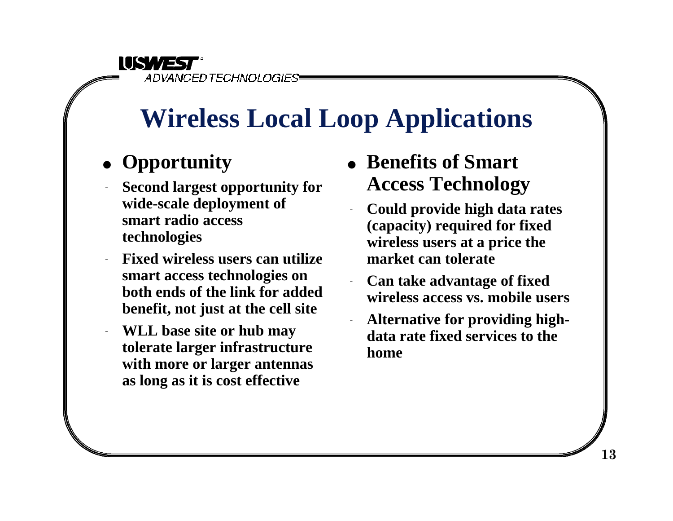**IISWEST** ADVANCED TECHNOLOGIES

## **Wireless Local Loop Applications**

#### • Opportunity

- <sup>q</sup> **Second largest opportunity for wide-scale deployment of smart radio access technologies**
- <sup>q</sup> **Fixed wireless users can utilize smart access technologies on both ends of the link for added benefit, not just at the cell site**
- <sup>q</sup> **WLL base site or hub may tolerate larger infrastructure with more or larger antennas as long as it is cost effective**
- **Benefits of Smart Access Technology**
	- <sup>q</sup> **Could provide high data rates (capacity) required for fixed wireless users at a price the market can tolerate**
- **Can take advantage of fixed wireless access vs. mobile users**
- Alternative for providing high**data rate fixed services to the home**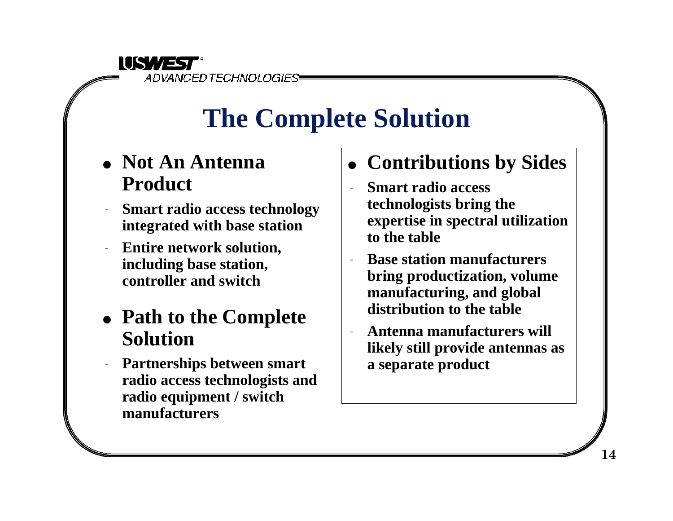

# **The Complete Solution**

- <sup>l</sup> **Not An Antenna Product**
- **Smart radio access technology integrated with base station**
- <sup>q</sup> **Entire network solution, including base station, controller and switch**

#### • Path to the Complete **Solution**

Partnerships between smart **radio access technologists and radio equipment / switch manufacturers**

- $\bullet$  **Contributions by Sides** 
	- <sup>q</sup> **Smart radio access technologists bring the expertise in spectral utilization to the table**
- **Base station manufacturers bring productization, volume manufacturing, and global distribution to the table**
- Antenna manufacturers will **likely still provide antennas as a separate product**